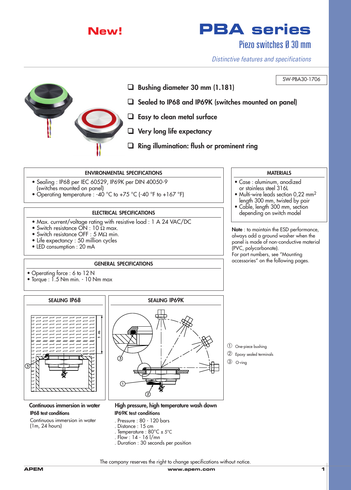

# **New! PBA series**

Piezo switches Ø 30 mm

SW-PBA30-1706

*Distinctive features and specifications*



- ❑ **Bushing diameter 30 mm (1.181)**
- ❑ **Sealed to IP68 and IP69K (switches mounted on panel)**
- ❑ **Easy to clean metal surface**
- ❑ **Very long life expectancy**
- ❑ **Ring illumination: flush or prominent ring**

### **ENVIRONMENTAL SPECIFICATIONS**

- Sealing : IP68 per IEC 60529, IP69K per DIN 40050-9 (switches mounted on panel)
- Operating temperature : -40 °C to +75 °C (-40 °F to +167 °F)

# **ELECTRICAL SPECIFICATIONS**

- Max. current/voltage rating with resistive load : 1 A 24 VAC/DC
- Switch resistance  $\overrightarrow{ON}$  : 10  $\Omega$  max.
- Switch resistance OFF : 5 MΩ min.
- Life expectancy : 50 million cycles
- LED consumption : 20 mA

## **GENERAL SPECIFICATIONS**

- Operating force : 6 to 12 N
- Torque : 1.5 Nm min. 10 Nm max



**Continuous immersion in water IP68 test conditions**

Continuous immersion in water (1m, 24 hours)



**High pressure, high temperature wash down**

**IP69K test conditions** . Pressure : 80 - 120 bars . Distance : 15 cm . Temperature : 80°C ± 5°C . Flow : 14 - 16 l/mn

. Duration : 30 seconds per position

- ➀ One-piece bushing
- ➁ Epoxy sealed terminals
- ➂ O-ring

The company reserves the right to change specifications without notice.

#### **MATERIALS**

- Case : aluminum, anodized or stainless steel 316L
- Multi-wire leads section 0,22 mm<sup>2</sup> length 300 mm, twisted by pair
- Cable, length 300 mm, section depending on switch model

**Note** : to maintain the ESD performance, always add a ground washer when the panel is made of non-conductive material (PVC, polycarbonate). For part numbers, see "Mounting

accessories" on the following pages.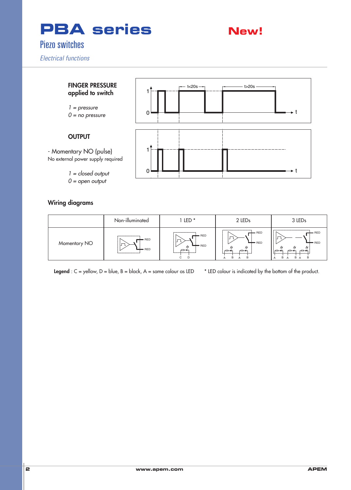



*0 = open output*

# **Wiring diagrams**

|              | Non-illuminated                                                    | LED *                                                                                         | 2 LEDs                                                                                     | 3 LED <sub>s</sub>                                                     |
|--------------|--------------------------------------------------------------------|-----------------------------------------------------------------------------------------------|--------------------------------------------------------------------------------------------|------------------------------------------------------------------------|
| Momentary NO | --------------------<br>$-$ RED<br>–<br>- RED<br>----------------- | $\leftarrow$ RED<br>$\leftarrow$ RED<br>~⊐<br><u> 1. – – – – – – – – – – – –</u><br>----<br>C | ----------------------<br>$-$ RED<br>$-$ RED<br>$r \rightarrow$<br>B<br><b>B</b><br>Α<br>А | · RED<br>$-$ RED<br>$\rightarrow$<br>⊷<br>∼<br>B A<br>B<br>B<br>A<br>A |

**Legend** :  $C =$  yellow,  $D =$  blue,  $B =$  black,  $A =$  same colour as LED  $*$  LED colour is indicated by the bottom of the product. \* LED colour is indicated by the bottom of the GREEN CONTRACTOR CONTRACTOR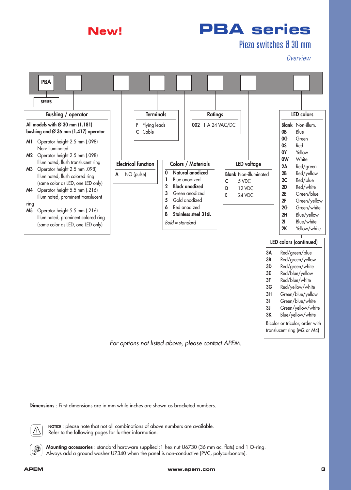

# Piezo switches Ø 30 mm

*Overview*



*For options not listed above, please contact APEM.*

**Dimensions** : First dimensions are in mm while inches are shown as bracketed numbers.



 $\circledcirc$ 

**NOTICE** : please note that not all combinations of above numbers are available. Refer to the following pages for further information.

**Mounting accessories** : standard hardware supplied :1 hex nut U6730 (36 mm ac. flats) and 1 O-ring. Always add a ground washer U7340 when the panel is non-conductive (PVC, polycarbonate).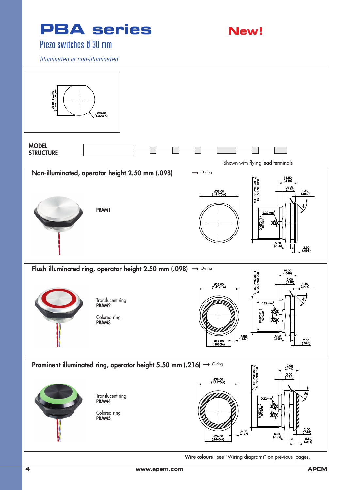

# Piezo switches Ø 30 mm

*Illuminated or non-illuminated*



**Wire colours** : see "Wiring diagrams" on previous pages.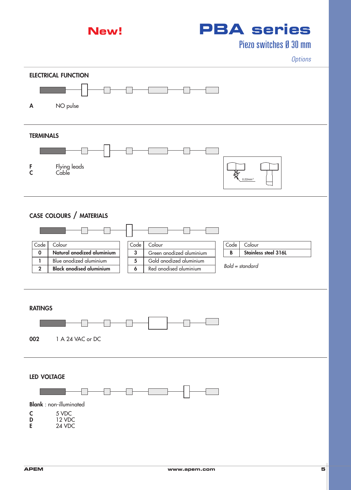

# **New! PBA series**

Piezo switches Ø 30 mm

*Options*